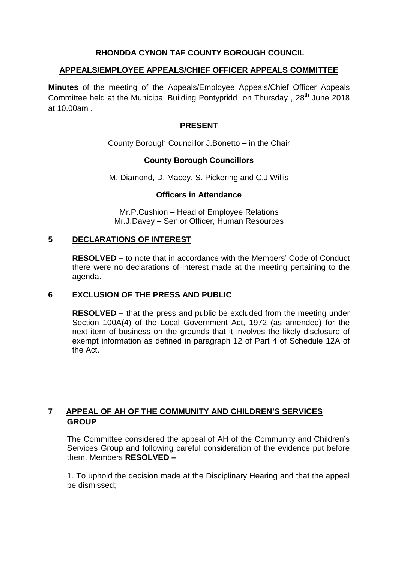## **RHONDDA CYNON TAF COUNTY BOROUGH COUNCIL**

## **APPEALS/EMPLOYEE APPEALS/CHIEF OFFICER APPEALS COMMITTEE**

**Minutes** of the meeting of the Appeals/Employee Appeals/Chief Officer Appeals Committee held at the Municipal Building Pontypridd on Thursday, 28<sup>th</sup> June 2018 at 10.00am .

## **PRESENT**

County Borough Councillor J.Bonetto – in the Chair

## **County Borough Councillors**

M. Diamond, D. Macey, S. Pickering and C.J.Willis

#### **Officers in Attendance**

Mr.P.Cushion – Head of Employee Relations Mr.J.Davey – Senior Officer, Human Resources

## **5 DECLARATIONS OF INTEREST**

**RESOLVED –** to note that in accordance with the Members' Code of Conduct there were no declarations of interest made at the meeting pertaining to the agenda.

## **6 EXCLUSION OF THE PRESS AND PUBLIC**

**RESOLVED –** that the press and public be excluded from the meeting under Section 100A(4) of the Local Government Act, 1972 (as amended) for the next item of business on the grounds that it involves the likely disclosure of exempt information as defined in paragraph 12 of Part 4 of Schedule 12A of the Act.

# **7 APPEAL OF AH OF THE COMMUNITY AND CHILDREN'S SERVICES GROUP**

The Committee considered the appeal of AH of the Community and Children's Services Group and following careful consideration of the evidence put before them, Members **RESOLVED –**

1. To uphold the decision made at the Disciplinary Hearing and that the appeal be dismissed;